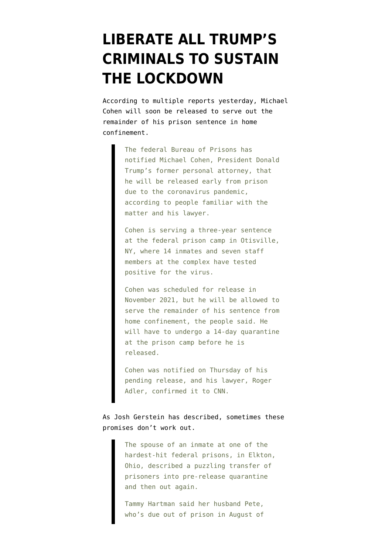## **[LIBERATE ALL TRUMP'S](https://www.emptywheel.net/2020/04/17/liberate-all-trumps-criminals-to-sustain-the-lockdown/) [CRIMINALS TO SUSTAIN](https://www.emptywheel.net/2020/04/17/liberate-all-trumps-criminals-to-sustain-the-lockdown/) [THE LOCKDOWN](https://www.emptywheel.net/2020/04/17/liberate-all-trumps-criminals-to-sustain-the-lockdown/)**

According to multiple [reports](https://www.cnn.com/2020/04/16/politics/michael-cohen-to-be-released-prison-coronavirus/index.html) yesterday, Michael Cohen will soon be released to serve out the remainder of his prison sentence in home confinement.

> The federal Bureau of Prisons has notified Michael Cohen, President Donald Trump's former personal attorney, that he will be released early from prison due to the coronavirus pandemic, according to people familiar with the matter and his lawyer.

> Cohen is serving a three-year sentence at the federal prison camp in Otisville, NY, where 14 inmates and seven staff members at the complex have tested positive for the virus.

> Cohen was scheduled for release in November 2021, but he will be allowed to serve the remainder of his sentence from home confinement, the people said. He will have to undergo a 14-day quarantine at the prison camp before he is released.

Cohen was notified on Thursday of his pending release, and his lawyer, Roger Adler, confirmed it to CNN.

As Josh Gerstein [has described,](https://www.politico.com/news/2020/04/10/us-prisons-virus-related-release-policies-prompt-confusion-178691) sometimes these promises don't work out.

> The spouse of an inmate at one of the hardest-hit federal prisons, in Elkton, Ohio, described a puzzling transfer of prisoners into pre-release quarantine and then out again.

Tammy Hartman said her husband Pete, who's due out of prison in August of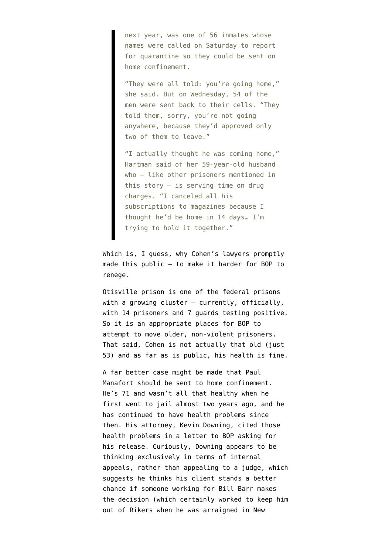next year, was one of 56 inmates whose names were called on Saturday to report for quarantine so they could be sent on home confinement.

"They were all told: you're going home," she said. But on Wednesday, 54 of the men were sent back to their cells. "They told them, sorry, you're not going anywhere, because they'd approved only two of them to leave."

"I actually thought he was coming home," Hartman said of her 59-year-old husband who — like other prisoners mentioned in this story — is serving time on drug charges. "I canceled all his subscriptions to magazines because I thought he'd be home in 14 days… I'm trying to hold it together."

Which is, I guess, why Cohen's lawyers promptly made this public — to make it harder for BOP to renege.

Otisville prison is [one of the federal prisons](https://www.bop.gov/coronavirus/#) with a growing cluster — currently, officially, with 14 prisoners and 7 guards testing positive. So it is an appropriate places for BOP to attempt to move older, non-violent prisoners. That said, Cohen is not actually that old (just 53) and as far as is public, his health is fine.

A far better case might be made that Paul Manafort should be sent to home confinement. He's 71 and wasn't all that healthy when he first went to jail almost two years ago, and he has continued to have health problems since then. His attorney, Kevin Downing, [cited](https://www.politico.com/news/2020/04/14/paul-manafort-prisoncoronavirus-threat-185186) those health problems in a letter to BOP asking for his release. Curiously, Downing appears to be thinking exclusively in terms of internal appeals, rather than appealing to a judge, which suggests he thinks his client stands a better chance if someone working for Bill Barr makes the decision (which certainly worked to keep him out of Rikers when he was arraigned in New